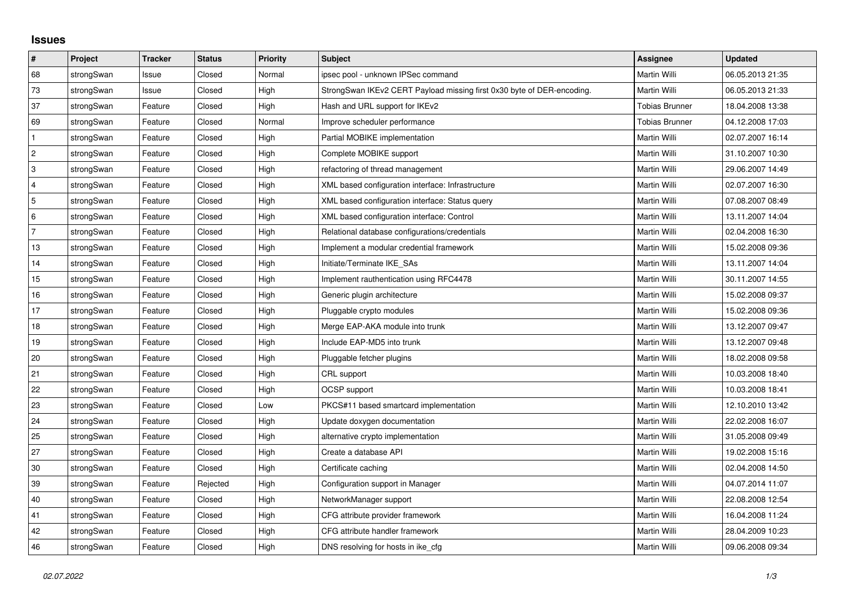## **Issues**

| #              | Project    | <b>Tracker</b> | <b>Status</b> | <b>Priority</b> | <b>Subject</b>                                                         | <b>Assignee</b>       | <b>Updated</b>   |
|----------------|------------|----------------|---------------|-----------------|------------------------------------------------------------------------|-----------------------|------------------|
| 68             | strongSwan | Issue          | Closed        | Normal          | ipsec pool - unknown IPSec command                                     | <b>Martin Willi</b>   | 06.05.2013 21:35 |
| 73             | strongSwan | Issue          | Closed        | High            | StrongSwan IKEv2 CERT Payload missing first 0x30 byte of DER-encoding. | Martin Willi          | 06.05.2013 21:33 |
| 37             | strongSwan | Feature        | Closed        | High            | Hash and URL support for IKEv2                                         | <b>Tobias Brunner</b> | 18.04.2008 13:38 |
| 69             | strongSwan | Feature        | Closed        | Normal          | Improve scheduler performance                                          | <b>Tobias Brunner</b> | 04.12.2008 17:03 |
| $\mathbf{1}$   | strongSwan | Feature        | Closed        | High            | Partial MOBIKE implementation                                          | Martin Willi          | 02.07.2007 16:14 |
| $\overline{c}$ | strongSwan | Feature        | Closed        | High            | Complete MOBIKE support                                                | Martin Willi          | 31.10.2007 10:30 |
| 3              | strongSwan | Feature        | Closed        | High            | refactoring of thread management                                       | Martin Willi          | 29.06.2007 14:49 |
| $\overline{4}$ | strongSwan | Feature        | Closed        | High            | XML based configuration interface: Infrastructure                      | Martin Willi          | 02.07.2007 16:30 |
| 5              | strongSwan | Feature        | Closed        | High            | XML based configuration interface: Status query                        | Martin Willi          | 07.08.2007 08:49 |
| 6              | strongSwan | Feature        | Closed        | High            | XML based configuration interface: Control                             | Martin Willi          | 13.11.2007 14:04 |
| $\overline{7}$ | strongSwan | Feature        | Closed        | High            | Relational database configurations/credentials                         | Martin Willi          | 02.04.2008 16:30 |
| 13             | strongSwan | Feature        | Closed        | High            | Implement a modular credential framework                               | Martin Willi          | 15.02.2008 09:36 |
| 14             | strongSwan | Feature        | Closed        | High            | Initiate/Terminate IKE SAs                                             | Martin Willi          | 13.11.2007 14:04 |
| 15             | strongSwan | Feature        | Closed        | High            | Implement rauthentication using RFC4478                                | Martin Willi          | 30.11.2007 14:55 |
| 16             | strongSwan | Feature        | Closed        | High            | Generic plugin architecture                                            | Martin Willi          | 15.02.2008 09:37 |
| 17             | strongSwan | Feature        | Closed        | High            | Pluggable crypto modules                                               | Martin Willi          | 15.02.2008 09:36 |
| $18$           | strongSwan | Feature        | Closed        | High            | Merge EAP-AKA module into trunk                                        | Martin Willi          | 13.12.2007 09:47 |
| 19             | strongSwan | Feature        | Closed        | High            | Include EAP-MD5 into trunk                                             | Martin Willi          | 13.12.2007 09:48 |
| 20             | strongSwan | Feature        | Closed        | High            | Pluggable fetcher plugins                                              | Martin Willi          | 18.02.2008 09:58 |
| 21             | strongSwan | Feature        | Closed        | High            | CRL support                                                            | Martin Willi          | 10.03.2008 18:40 |
| 22             | strongSwan | Feature        | Closed        | High            | <b>OCSP</b> support                                                    | Martin Willi          | 10.03.2008 18:41 |
| 23             | strongSwan | Feature        | Closed        | Low             | PKCS#11 based smartcard implementation                                 | Martin Willi          | 12.10.2010 13:42 |
| $ 24\rangle$   | strongSwan | Feature        | Closed        | High            | Update doxygen documentation                                           | Martin Willi          | 22.02.2008 16:07 |
| 25             | strongSwan | Feature        | Closed        | High            | alternative crypto implementation                                      | Martin Willi          | 31.05.2008 09:49 |
| 27             | strongSwan | Feature        | Closed        | High            | Create a database API                                                  | Martin Willi          | 19.02.2008 15:16 |
| 30             | strongSwan | Feature        | Closed        | High            | Certificate caching                                                    | Martin Willi          | 02.04.2008 14:50 |
| 39             | strongSwan | Feature        | Rejected      | High            | Configuration support in Manager                                       | Martin Willi          | 04.07.2014 11:07 |
| $40\,$         | strongSwan | Feature        | Closed        | High            | NetworkManager support                                                 | Martin Willi          | 22.08.2008 12:54 |
| 41             | strongSwan | Feature        | Closed        | High            | CFG attribute provider framework                                       | Martin Willi          | 16.04.2008 11:24 |
| 42             | strongSwan | Feature        | Closed        | High            | CFG attribute handler framework                                        | Martin Willi          | 28.04.2009 10:23 |
| 46             | strongSwan | Feature        | Closed        | High            | DNS resolving for hosts in ike_cfg                                     | Martin Willi          | 09.06.2008 09:34 |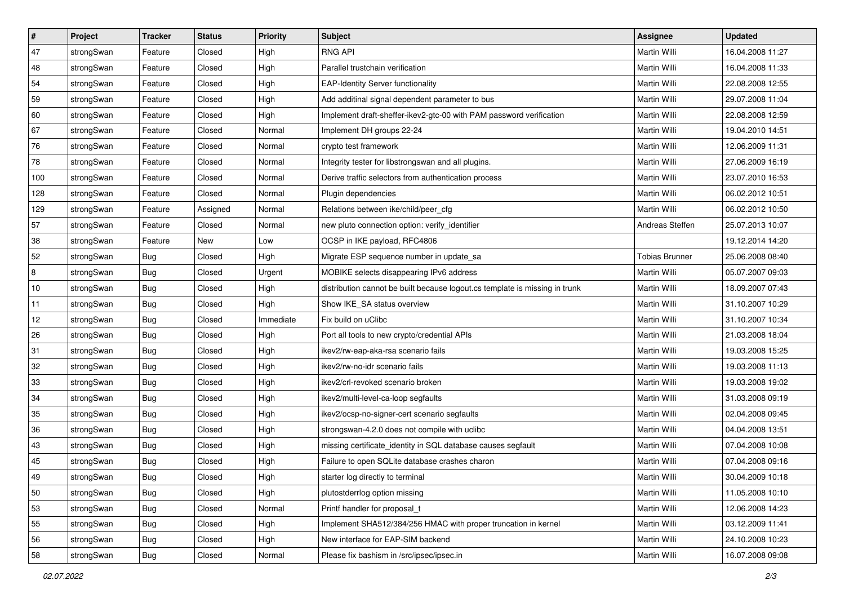| $\vert$ # | Project    | <b>Tracker</b> | <b>Status</b> | <b>Priority</b> | <b>Subject</b>                                                              | <b>Assignee</b>       | <b>Updated</b>   |
|-----------|------------|----------------|---------------|-----------------|-----------------------------------------------------------------------------|-----------------------|------------------|
| 47        | strongSwan | Feature        | Closed        | High            | <b>RNG API</b>                                                              | Martin Willi          | 16.04.2008 11:27 |
| 48        | strongSwan | Feature        | Closed        | High            | Parallel trustchain verification                                            | <b>Martin Willi</b>   | 16.04.2008 11:33 |
| 54        | strongSwan | Feature        | Closed        | High            | <b>EAP-Identity Server functionality</b>                                    | Martin Willi          | 22.08.2008 12:55 |
| 59        | strongSwan | Feature        | Closed        | High            | Add additinal signal dependent parameter to bus                             | Martin Willi          | 29.07.2008 11:04 |
| 60        | strongSwan | Feature        | Closed        | High            | Implement draft-sheffer-ikev2-gtc-00 with PAM password verification         | Martin Willi          | 22.08.2008 12:59 |
| 67        | strongSwan | Feature        | Closed        | Normal          | Implement DH groups 22-24                                                   | Martin Willi          | 19.04.2010 14:51 |
| 76        | strongSwan | Feature        | Closed        | Normal          | crypto test framework                                                       | Martin Willi          | 12.06.2009 11:31 |
| 78        | strongSwan | Feature        | Closed        | Normal          | Integrity tester for libstrongswan and all plugins.                         | Martin Willi          | 27.06.2009 16:19 |
| 100       | strongSwan | Feature        | Closed        | Normal          | Derive traffic selectors from authentication process                        | Martin Willi          | 23.07.2010 16:53 |
| 128       | strongSwan | Feature        | Closed        | Normal          | Plugin dependencies                                                         | Martin Willi          | 06.02.2012 10:51 |
| 129       | strongSwan | Feature        | Assigned      | Normal          | Relations between ike/child/peer_cfg                                        | Martin Willi          | 06.02.2012 10:50 |
| 57        | strongSwan | Feature        | Closed        | Normal          | new pluto connection option: verify_identifier                              | Andreas Steffen       | 25.07.2013 10:07 |
| 38        | strongSwan | Feature        | <b>New</b>    | Low             | OCSP in IKE payload, RFC4806                                                |                       | 19.12.2014 14:20 |
| 52        | strongSwan | <b>Bug</b>     | Closed        | High            | Migrate ESP sequence number in update_sa                                    | <b>Tobias Brunner</b> | 25.06.2008 08:40 |
| 8         | strongSwan | Bug            | Closed        | Urgent          | MOBIKE selects disappearing IPv6 address                                    | Martin Willi          | 05.07.2007 09:03 |
| 10        | strongSwan | <b>Bug</b>     | Closed        | High            | distribution cannot be built because logout.cs template is missing in trunk | Martin Willi          | 18.09.2007 07:43 |
| 11        | strongSwan | <b>Bug</b>     | Closed        | High            | Show IKE SA status overview                                                 | <b>Martin Willi</b>   | 31.10.2007 10:29 |
| 12        | strongSwan | Bug            | Closed        | Immediate       | Fix build on uClibc                                                         | Martin Willi          | 31.10.2007 10:34 |
| 26        | strongSwan | <b>Bug</b>     | Closed        | High            | Port all tools to new crypto/credential APIs                                | Martin Willi          | 21.03.2008 18:04 |
| 31        | strongSwan | Bug            | Closed        | High            | ikev2/rw-eap-aka-rsa scenario fails                                         | Martin Willi          | 19.03.2008 15:25 |
| 32        | strongSwan | Bug            | Closed        | High            | ikev2/rw-no-idr scenario fails                                              | Martin Willi          | 19.03.2008 11:13 |
| 33        | strongSwan | <b>Bug</b>     | Closed        | High            | ikev2/crl-revoked scenario broken                                           | Martin Willi          | 19.03.2008 19:02 |
| 34        | strongSwan | Bug            | Closed        | High            | ikev2/multi-level-ca-loop segfaults                                         | Martin Willi          | 31.03.2008 09:19 |
| 35        | strongSwan | Bug            | Closed        | High            | ikev2/ocsp-no-signer-cert scenario segfaults                                | Martin Willi          | 02.04.2008 09:45 |
| 36        | strongSwan | <b>Bug</b>     | Closed        | High            | strongswan-4.2.0 does not compile with uclibc                               | Martin Willi          | 04.04.2008 13:51 |
| 43        | strongSwan | <b>Bug</b>     | Closed        | High            | missing certificate_identity in SQL database causes segfault                | Martin Willi          | 07.04.2008 10:08 |
| 45        | strongSwan | Bug            | Closed        | High            | Failure to open SQLite database crashes charon                              | Martin Willi          | 07.04.2008 09:16 |
| 49        | strongSwan | Bug            | Closed        | High            | starter log directly to terminal                                            | Martin Willi          | 30.04.2009 10:18 |
| 50        | strongSwan | Bug            | Closed        | High            | plutostderrlog option missing                                               | Martin Willi          | 11.05.2008 10:10 |
| 53        | strongSwan | Bug            | Closed        | Normal          | Printf handler for proposal_t                                               | Martin Willi          | 12.06.2008 14:23 |
| 55        | strongSwan | Bug            | Closed        | High            | Implement SHA512/384/256 HMAC with proper truncation in kernel              | Martin Willi          | 03.12.2009 11:41 |
| 56        | strongSwan | Bug            | Closed        | High            | New interface for EAP-SIM backend                                           | Martin Willi          | 24.10.2008 10:23 |
| 58        | strongSwan | Bug            | Closed        | Normal          | Please fix bashism in /src/ipsec/ipsec.in                                   | Martin Willi          | 16.07.2008 09:08 |